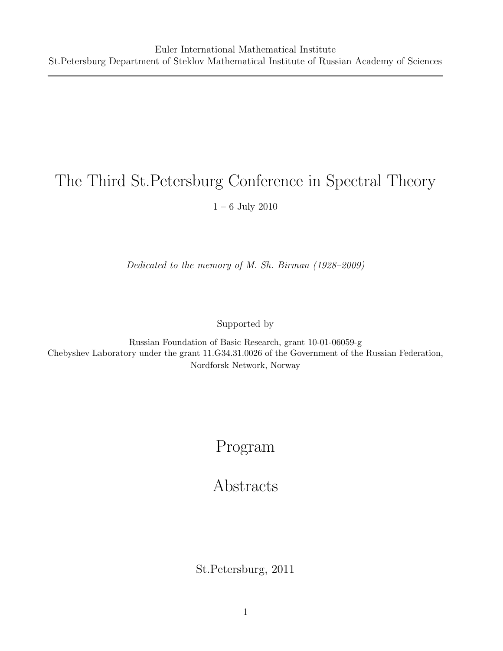# The Third St.Petersburg Conference in Spectral Theory

1 – 6 July 2010

Dedicated to the memory of M. Sh. Birman (1928–2009)

Supported by

Russian Foundation of Basic Research, grant 10-01-06059-g Chebyshev Laboratory under the grant 11.G34.31.0026 of the Government of the Russian Federation, Nordforsk Network, Norway

# Program

# Abstracts

St.Petersburg, 2011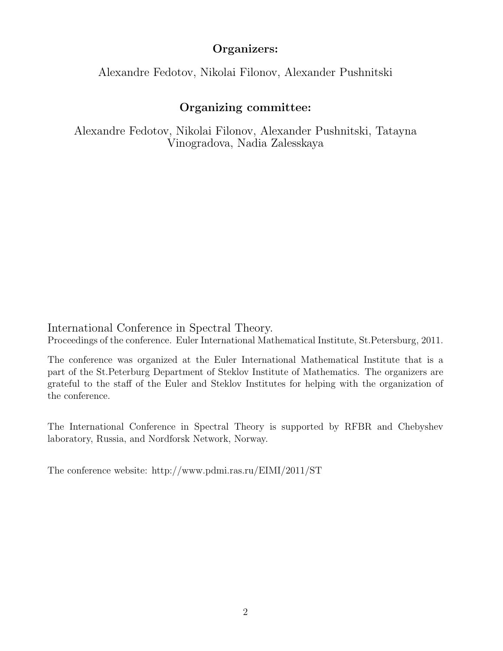## Organizers:

Alexandre Fedotov, Nikolai Filonov, Alexander Pushnitski

# Organizing committee:

Alexandre Fedotov, Nikolai Filonov, Alexander Pushnitski, Tatayna Vinogradova, Nadia Zalesskaya

International Conference in Spectral Theory.

Proceedings of the conference. Euler International Mathematical Institute, St.Petersburg, 2011.

The conference was organized at the Euler International Mathematical Institute that is a part of the St.Peterburg Department of Steklov Institute of Mathematics. The organizers are grateful to the staff of the Euler and Steklov Institutes for helping with the organization of the conference.

The International Conference in Spectral Theory is supported by RFBR and Chebyshev laboratory, Russia, and Nordforsk Network, Norway.

The conference website: http://www.pdmi.ras.ru/EIMI/2011/ST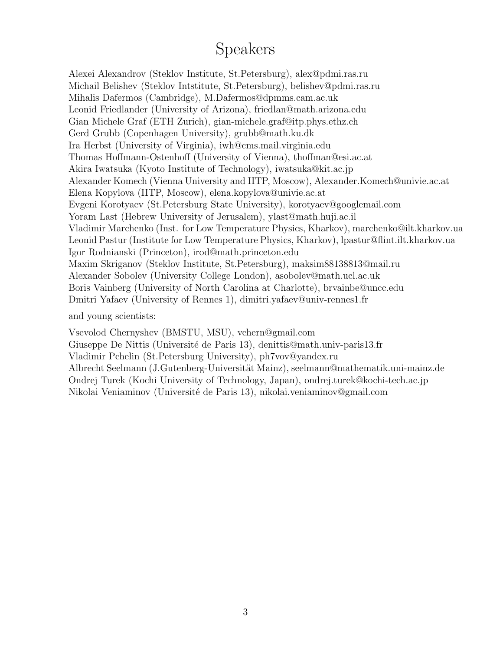# Speakers

Alexei Alexandrov (Steklov Institute, St.Petersburg), alex@pdmi.ras.ru Michail Belishev (Steklov Intstitute, St.Petersburg), belishev@pdmi.ras.ru Mihalis Dafermos (Cambridge), M.Dafermos@dpmms.cam.ac.uk Leonid Friedlander (University of Arizona), friedlan@math.arizona.edu Gian Michele Graf (ETH Zurich), gian-michele.graf@itp.phys.ethz.ch Gerd Grubb (Copenhagen University), grubb@math.ku.dk Ira Herbst (University of Virginia), iwh@cms.mail.virginia.edu Thomas Hoffmann-Ostenhoff (University of Vienna), thoffman@esi.ac.at Akira Iwatsuka (Kyoto Institute of Technology), iwatsuka@kit.ac.jp Alexander Komech (Vienna University and IITP, Moscow), Alexander.Komech@univie.ac.at Elena Kopylova (IITP, Moscow), elena.kopylova@univie.ac.at Evgeni Korotyaev (St.Petersburg State University), korotyaev@googlemail.com Yoram Last (Hebrew University of Jerusalem), ylast@math.huji.ac.il Vladimir Marchenko (Inst. for Low Temperature Physics, Kharkov), marchenko@ilt.kharkov.ua Leonid Pastur (Institute for Low Temperature Physics, Kharkov), lpastur@flint.ilt.kharkov.ua Igor Rodnianski (Princeton), irod@math.princeton.edu Maxim Skriganov (Steklov Institute, St.Petersburg), maksim88138813@mail.ru Alexander Sobolev (University College London), asobolev@math.ucl.ac.uk Boris Vainberg (University of North Carolina at Charlotte), brvainbe@uncc.edu Dmitri Yafaev (University of Rennes 1), dimitri.yafaev@univ-rennes1.fr

and young scientists:

Vsevolod Chernyshev (BMSTU, MSU), vchern@gmail.com

Giuseppe De Nittis (Université de Paris 13), denittis@math.univ-paris13.fr

Vladimir Pchelin (St.Petersburg University), ph7vov@yandex.ru

Albrecht Seelmann (J.Gutenberg-Universit¨at Mainz), seelmann@mathematik.uni-mainz.de Ondrej Turek (Kochi University of Technology, Japan), ondrej.turek@kochi-tech.ac.jp Nikolai Veniaminov (Universit´e de Paris 13), nikolai.veniaminov@gmail.com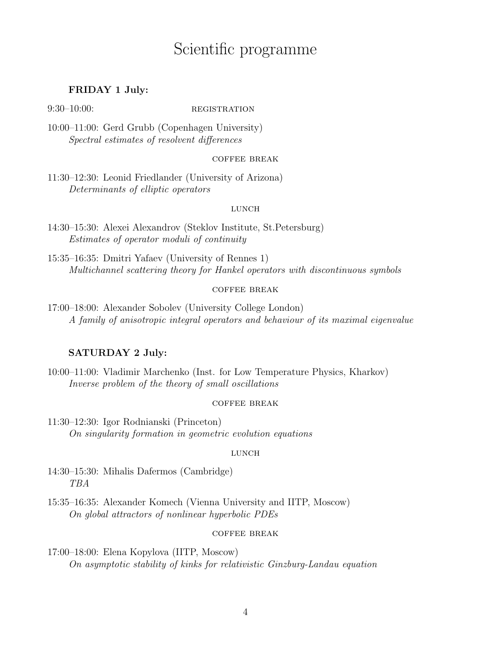# Scientific programme

### FRIDAY 1 July:

#### $9:30-10:00$ : REGISTRATION

10:00–11:00: Gerd Grubb (Copenhagen University) Spectral estimates of resolvent differences

#### coffee break

11:30–12:30: Leonid Friedlander (University of Arizona) Determinants of elliptic operators

#### LUNCH

14:30–15:30: Alexei Alexandrov (Steklov Institute, St.Petersburg) Estimates of operator moduli of continuity

15:35–16:35: Dmitri Yafaev (University of Rennes 1) Multichannel scattering theory for Hankel operators with discontinuous symbols

### coffee break

17:00–18:00: Alexander Sobolev (University College London) A family of anisotropic integral operators and behaviour of its maximal eigenvalue

### SATURDAY 2 July:

10:00–11:00: Vladimir Marchenko (Inst. for Low Temperature Physics, Kharkov) Inverse problem of the theory of small oscillations

#### coffee break

11:30–12:30: Igor Rodnianski (Princeton) On singularity formation in geometric evolution equations

#### LUNCH

14:30–15:30: Mihalis Dafermos (Cambridge) TBA

15:35–16:35: Alexander Komech (Vienna University and IITP, Moscow) On global attractors of nonlinear hyperbolic PDEs

#### coffee break

17:00–18:00: Elena Kopylova (IITP, Moscow) On asymptotic stability of kinks for relativistic Ginzburg-Landau equation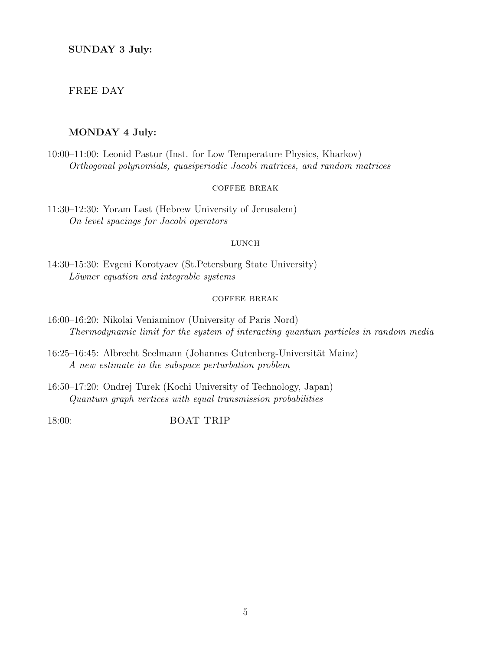### FREE DAY

### MONDAY 4 July:

10:00–11:00: Leonid Pastur (Inst. for Low Temperature Physics, Kharkov) Orthogonal polynomials, quasiperiodic Jacobi matrices, and random matrices

#### coffee break

11:30–12:30: Yoram Last (Hebrew University of Jerusalem) On level spacings for Jacobi operators

#### LUNCH

14:30–15:30: Evgeni Korotyaev (St.Petersburg State University) Löwner equation and integrable systems

#### coffee break

- 16:00–16:20: Nikolai Veniaminov (University of Paris Nord) Thermodynamic limit for the system of interacting quantum particles in random media
- 16:25–16:45: Albrecht Seelmann (Johannes Gutenberg-Universität Mainz) A new estimate in the subspace perturbation problem
- 16:50–17:20: Ondrej Turek (Kochi University of Technology, Japan) Quantum graph vertices with equal transmission probabilities

18:00: BOAT TRIP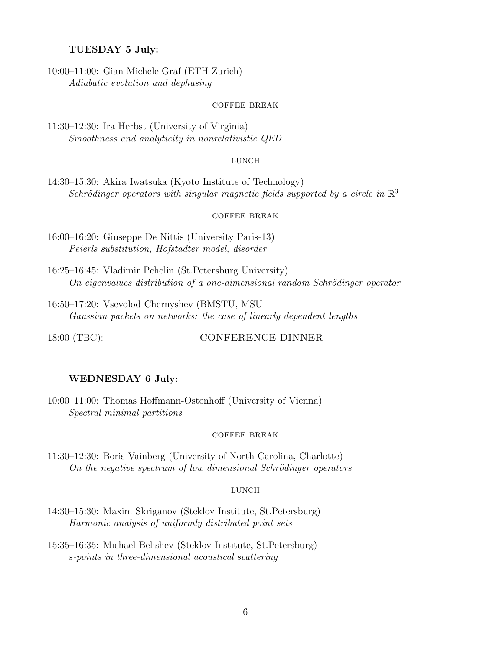#### TUESDAY 5 July:

10:00–11:00: Gian Michele Graf (ETH Zurich) Adiabatic evolution and dephasing

#### coffee break

11:30–12:30: Ira Herbst (University of Virginia) Smoothness and analyticity in nonrelativistic QED

#### **LUNCH**

14:30–15:30: Akira Iwatsuka (Kyoto Institute of Technology) Schrödinger operators with singular magnetic fields supported by a circle in  $\mathbb{R}^3$ 

#### coffee break

16:00–16:20: Giuseppe De Nittis (University Paris-13) Peierls substitution, Hofstadter model, disorder

16:25–16:45: Vladimir Pchelin (St.Petersburg University) On eigenvalues distribution of a one-dimensional random Schrödinger operator

16:50–17:20: Vsevolod Chernyshev (BMSTU, MSU Gaussian packets on networks: the case of linearly dependent lengths

#### 18:00 (TBC): CONFERENCE DINNER

#### WEDNESDAY 6 July:

10:00–11:00: Thomas Hoffmann-Ostenhoff (University of Vienna) Spectral minimal partitions

#### coffee break

11:30–12:30: Boris Vainberg (University of North Carolina, Charlotte) On the negative spectrum of low dimensional Schrödinger operators

#### **LUNCH**

- 14:30–15:30: Maxim Skriganov (Steklov Institute, St.Petersburg) Harmonic analysis of uniformly distributed point sets
- 15:35–16:35: Michael Belishev (Steklov Institute, St.Petersburg) s-points in three-dimensional acoustical scattering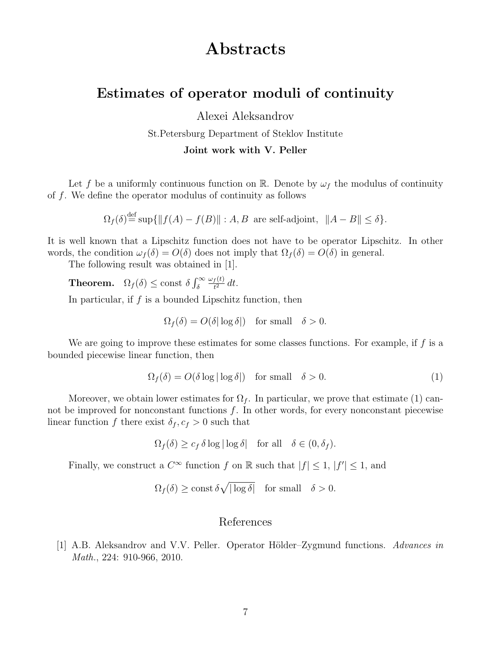# Abstracts

# Estimates of operator moduli of continuity

Alexei Aleksandrov

St.Petersburg Department of Steklov Institute

Joint work with V. Peller

Let f be a uniformly continuous function on R. Denote by  $\omega_f$  the modulus of continuity of f. We define the operator modulus of continuity as follows

 $\Omega_f(\delta) \stackrel{\text{def}}{=} \sup \{ ||f(A) - f(B)|| : A, B \text{ are self-adjoint}, ||A - B|| \le \delta \}.$ 

It is well known that a Lipschitz function does not have to be operator Lipschitz. In other words, the condition  $\omega_f(\delta) = O(\delta)$  does not imply that  $\Omega_f(\delta) = O(\delta)$  in general.

The following result was obtained in [1].

**Theorem.**  $\Omega_f(\delta) \le \text{const } \delta \int_{\delta}^{\infty}$  $\omega_f(t)$  $\frac{f(t)}{t^2}$  dt.

In particular, if  $f$  is a bounded Lipschitz function, then

$$
\Omega_f(\delta) = O(\delta |\log \delta|) \quad \text{for small} \quad \delta > 0.
$$

We are going to improve these estimates for some classes functions. For example, if  $f$  is a bounded piecewise linear function, then

$$
\Omega_f(\delta) = O(\delta \log |\log \delta|) \quad \text{for small} \quad \delta > 0. \tag{1}
$$

Moreover, we obtain lower estimates for  $\Omega_f$ . In particular, we prove that estimate (1) cannot be improved for nonconstant functions  $f$ . In other words, for every nonconstant piecewise linear function f there exist  $\delta_f, c_f > 0$  such that

$$
\Omega_f(\delta) \ge c_f \, \delta \log |\log \delta| \quad \text{for all} \quad \delta \in (0, \delta_f).
$$

Finally, we construct a  $C^{\infty}$  function f on R such that  $|f| \leq 1$ ,  $|f'| \leq 1$ , and

$$
\Omega_f(\delta) \ge \text{const } \delta \sqrt{|\log \delta|} \quad \text{for small} \quad \delta > 0.
$$

### References

[1] A.B. Aleksandrov and V.V. Peller. Operator Hölder–Zygmund functions. Advances in Math., 224: 910-966, 2010.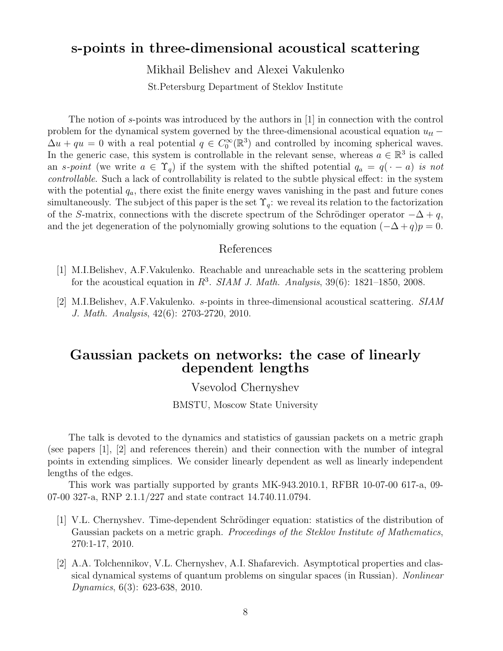# s-points in three-dimensional acoustical scattering

Mikhail Belishev and Alexei Vakulenko

St.Petersburg Department of Steklov Institute

The notion of s-points was introduced by the authors in [1] in connection with the control problem for the dynamical system governed by the three-dimensional acoustical equation  $u_{tt}$  −  $\Delta u + qu = 0$  with a real potential  $q \in C_0^{\infty}(\mathbb{R}^3)$  and controlled by incoming spherical waves. In the generic case, this system is controllable in the relevant sense, whereas  $a \in \mathbb{R}^3$  is called an s-point (we write  $a \in \Upsilon_q$ ) if the system with the shifted potential  $q_a = q(\cdot - a)$  is not controllable. Such a lack of controllability is related to the subtle physical effect: in the system with the potential  $q_a$ , there exist the finite energy waves vanishing in the past and future cones simultaneously. The subject of this paper is the set  $\Upsilon_q$ : we reveal its relation to the factorization of the S-matrix, connections with the discrete spectrum of the Schrödinger operator  $-\Delta + q$ , and the jet degeneration of the polynomially growing solutions to the equation  $(-\Delta + q)p = 0$ .

### References

- [1] M.I.Belishev, A.F.Vakulenko. Reachable and unreachable sets in the scattering problem for the acoustical equation in  $R^3$ . SIAM J. Math. Analysis, 39(6): 1821–1850, 2008.
- [2] M.I.Belishev, A.F.Vakulenko. s-points in three-dimensional acoustical scattering. SIAM J. Math. Analysis, 42(6): 2703-2720, 2010.

## Gaussian packets on networks: the case of linearly dependent lengths

### Vsevolod Chernyshev

BMSTU, Moscow State University

The talk is devoted to the dynamics and statistics of gaussian packets on a metric graph (see papers [1], [2] and references therein) and their connection with the number of integral points in extending simplices. We consider linearly dependent as well as linearly independent lengths of the edges.

This work was partially supported by grants MK-943.2010.1, RFBR 10-07-00 617-a, 09- 07-00 327-a, RNP 2.1.1/227 and state contract 14.740.11.0794.

- [1] V.L. Chernyshev. Time-dependent Schrödinger equation: statistics of the distribution of Gaussian packets on a metric graph. *Proceedings of the Steklov Institute of Mathematics*, 270:1-17, 2010.
- [2] A.A. Tolchennikov, V.L. Chernyshev, A.I. Shafarevich. Asymptotical properties and classical dynamical systems of quantum problems on singular spaces (in Russian). Nonlinear Dynamics, 6(3): 623-638, 2010.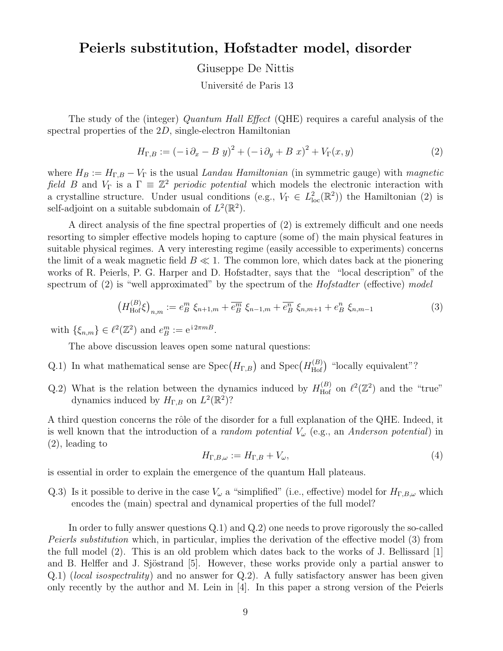# Peierls substitution, Hofstadter model, disorder

Giuseppe De Nittis

Université de Paris 13

The study of the (integer) *Quantum Hall Effect* (QHE) requires a careful analysis of the spectral properties of the 2D, single-electron Hamiltonian

$$
H_{\Gamma,B} := (-\mathrm{i}\,\partial_x - B\,y)^2 + (-\mathrm{i}\,\partial_y + B\,x)^2 + V_{\Gamma}(x,y) \tag{2}
$$

where  $H_B := H_{\Gamma,B} - V_{\Gamma}$  is the usual Landau Hamiltonian (in symmetric gauge) with magnetic field B and  $V_{\Gamma}$  is a  $\Gamma \equiv \mathbb{Z}^2$  periodic potential which models the electronic interaction with a crystalline structure. Under usual conditions (e.g.,  $V_{\Gamma} \in L^2_{loc}(\mathbb{R}^2)$ ) the Hamiltonian (2) is self-adjoint on a suitable subdomain of  $L^2(\mathbb{R}^2)$ .

A direct analysis of the fine spectral properties of (2) is extremely difficult and one needs resorting to simpler effective models hoping to capture (some of) the main physical features in suitable physical regimes. A very interesting regime (easily accessible to experiments) concerns the limit of a weak magnetic field  $B \ll 1$ . The common lore, which dates back at the pionering works of R. Peierls, P. G. Harper and D. Hofstadter, says that the "local description" of the spectrum of (2) is "well approximated" by the spectrum of the *Hofstadter* (effective) model

$$
\left(H_{\text{Hof}}^{(B)}\xi\right)_{n,m} := e_B^m \xi_{n+1,m} + \overline{e_B^m} \xi_{n-1,m} + \overline{e_B^n} \xi_{n,m+1} + e_B^n \xi_{n,m-1} \tag{3}
$$

with  $\{\xi_{n,m}\}\in \ell^2(\mathbb{Z}^2)$  and  $e_B^m := e^{i2\pi m B}$ .

The above discussion leaves open some natural questions:

- Q.1) In what mathematical sense are  $Spec(H_{\Gamma,B})$  and  $Spec(H_{\text{Hof}}^{(B)})$  "locally equivalent"?
- Q.2) What is the relation between the dynamics induced by  $H_{\text{Hof}}^{(B)}$  on  $\ell^2(\mathbb{Z}^2)$  and the "true" dynamics induced by  $H_{\Gamma,B}$  on  $L^2(\mathbb{R}^2)$ ?

A third question concerns the rôle of the disorder for a full explanation of the QHE. Indeed, it is well known that the introduction of a *random potential*  $V_{\omega}$  (e.g., an *Anderson potential*) in (2), leading to

$$
H_{\Gamma,B,\omega} := H_{\Gamma,B} + V_{\omega},\tag{4}
$$

is essential in order to explain the emergence of the quantum Hall plateaus.

Q.3) Is it possible to derive in the case  $V_\omega$  a "simplified" (i.e., effective) model for  $H_{\Gamma,B,\omega}$  which encodes the (main) spectral and dynamical properties of the full model?

In order to fully answer questions Q.1) and Q.2) one needs to prove rigorously the so-called Peierls substitution which, in particular, implies the derivation of the effective model (3) from the full model (2). This is an old problem which dates back to the works of J. Bellissard [1] and B. Helffer and J. Sjöstrand [5]. However, these works provide only a partial answer to  $Q(0,1)$  (local isospectrality) and no answer for  $Q(0,2)$ . A fully satisfactory answer has been given only recently by the author and M. Lein in [4]. In this paper a strong version of the Peierls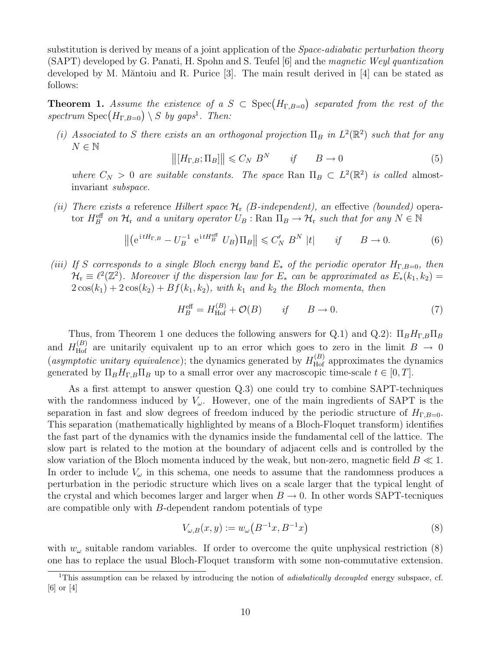substitution is derived by means of a joint application of the *Space-adiabatic perturbation theory* (SAPT) developed by G. Panati, H. Spohn and S. Teufel [6] and the magnetic Weyl quantization developed by M. Măntoiu and R. Purice  $[3]$ . The main result derived in  $[4]$  can be stated as follows:

**Theorem 1.** Assume the existence of a  $S \text{ }\subset \text{ Spec}(H_{\Gamma,B=0})$  separated from the rest of the spectrum  $Spec(H_{\Gamma,B=0}) \setminus S$  by gaps<sup>1</sup>. Then:

(i) Associated to S there exists an an orthogonal projection  $\Pi_B$  in  $L^2(\mathbb{R}^2)$  such that for any  $N \in \mathbb{N}$ 

$$
\left\| [H_{\Gamma,B}; \Pi_B] \right\| \leqslant C_N \ B^N \qquad \text{if} \qquad B \to 0 \tag{5}
$$

where  $C_N > 0$  are suitable constants. The space Ran  $\Pi_B \subset L^2(\mathbb{R}^2)$  is called almostinvariant subspace.

(ii) There exists a reference Hilbert space  $\mathcal{H}_r$  (B-independent), an effective (bounded) operator  $H_B^{\text{eff}}$  on  $\mathcal{H}_r$  and a unitary operator  $U_B$  : Ran  $\Pi_B \to \mathcal{H}_r$  such that for any  $N \in \mathbb{N}$ 

$$
\left\| \left( e^{i t H_{\Gamma,B}} - U_B^{-1} e^{i t H_B^{\text{eff}}} U_B \right) \Pi_B \right\| \leqslant C_N' B^N \left| t \right| \qquad \text{if} \qquad B \to 0. \tag{6}
$$

(iii) If S corresponds to a single Bloch energy band  $E_*$  of the periodic operator  $H_{\Gamma,B=0}$ , then  $\mathcal{H}_{\rm r} \equiv \ell^2(\mathbb{Z}^2)$ . Moreover if the dispersion law for  $E_*$  can be approximated as  $E_*^{\{k_1,k_2\}} =$  $2\cos(k_1) + 2\cos(k_2) + Bf(k_1, k_2)$ , with  $k_1$  and  $k_2$  the Bloch momenta, then

$$
H_B^{\text{eff}} = H_{\text{Hof}}^{(B)} + \mathcal{O}(B) \qquad \text{if} \qquad B \to 0. \tag{7}
$$

Thus, from Theorem 1 one deduces the following answers for Q.1) and Q.2):  $\Pi_B H_{\Gamma,B} \Pi_B$ and  $H_{\text{Hof}}^{(B)}$  are unitarily equivalent up to an error which goes to zero in the limit  $B \to 0$ (asymptotic unitary equivalence); the dynamics generated by  $H_{\text{Hof}}^{(B)}$  approximates the dynamics generated by  $\Pi_B H_{\Gamma,B} \Pi_B$  up to a small error over any macroscopic time-scale  $t \in [0, T]$ .

As a first attempt to answer question Q.3) one could try to combine SAPT-techniques with the randomness induced by  $V_{\omega}$ . However, one of the main ingredients of SAPT is the separation in fast and slow degrees of freedom induced by the periodic structure of  $H_{\Gamma,B=0}$ . This separation (mathematically highlighted by means of a Bloch-Floquet transform) identifies the fast part of the dynamics with the dynamics inside the fundamental cell of the lattice. The slow part is related to the motion at the boundary of adjacent cells and is controlled by the slow variation of the Bloch momenta induced by the weak, but non-zero, magnetic field  $B \ll 1$ . In order to include  $V_{\omega}$  in this schema, one needs to assume that the randomness produces a perturbation in the periodic structure which lives on a scale larger that the typical lenght of the crystal and which becomes larger and larger when  $B \to 0$ . In other words SAPT-tecniques are compatible only with B-dependent random potentials of type

$$
V_{\omega,B}(x,y) := w_{\omega}(B^{-1}x, B^{-1}x)
$$
\n(8)

with  $w_{\omega}$  suitable random variables. If order to overcome the quite unphysical restriction (8) one has to replace the usual Bloch-Floquet transform with some non-commutative extension.

<sup>&</sup>lt;sup>1</sup>This assumption can be relaxed by introducing the notion of *adiabatically decoupled* energy subspace, cf. [6] or [4]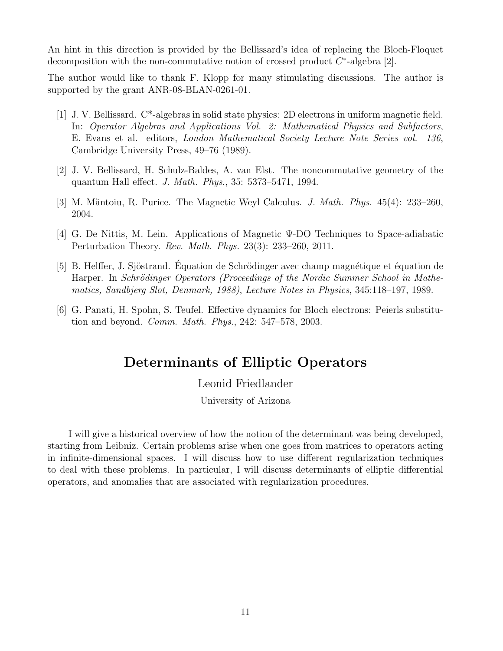An hint in this direction is provided by the Bellissard's idea of replacing the Bloch-Floquet decomposition with the non-commutative notion of crossed product  $C^*$ -algebra [2].

The author would like to thank F. Klopp for many stimulating discussions. The author is supported by the grant ANR-08-BLAN-0261-01.

- [1] J. V. Bellissard. C\*-algebras in solid state physics: 2D electrons in uniform magnetic field. In: Operator Algebras and Applications Vol. 2: Mathematical Physics and Subfactors, E. Evans et al. editors, London Mathematical Society Lecture Note Series vol. 136, Cambridge University Press, 49–76 (1989).
- [2] J. V. Bellissard, H. Schulz-Baldes, A. van Elst. The noncommutative geometry of the quantum Hall effect. J. Math. Phys., 35: 5373–5471, 1994.
- [3] M. Măntoiu, R. Purice. The Magnetic Weyl Calculus. *J. Math. Phys.*  $45(4)$ :  $233-260$ , 2004.
- [4] G. De Nittis, M. Lein. Applications of Magnetic Ψ-DO Techniques to Space-adiabatic Perturbation Theory. Rev. Math. Phys. 23(3): 233–260, 2011.
- [5] B. Helffer, J. Sjöstrand. Équation de Schrödinger avec champ magnétique et équation de Harper. In Schrödinger Operators (Proceedings of the Nordic Summer School in Mathematics, Sandbjerg Slot, Denmark, 1988), Lecture Notes in Physics, 345:118–197, 1989.
- [6] G. Panati, H. Spohn, S. Teufel. Effective dynamics for Bloch electrons: Peierls substitution and beyond. Comm. Math. Phys., 242: 547–578, 2003.

# Determinants of Elliptic Operators

### Leonid Friedlander

University of Arizona

I will give a historical overview of how the notion of the determinant was being developed, starting from Leibniz. Certain problems arise when one goes from matrices to operators acting in infinite-dimensional spaces. I will discuss how to use different regularization techniques to deal with these problems. In particular, I will discuss determinants of elliptic differential operators, and anomalies that are associated with regularization procedures.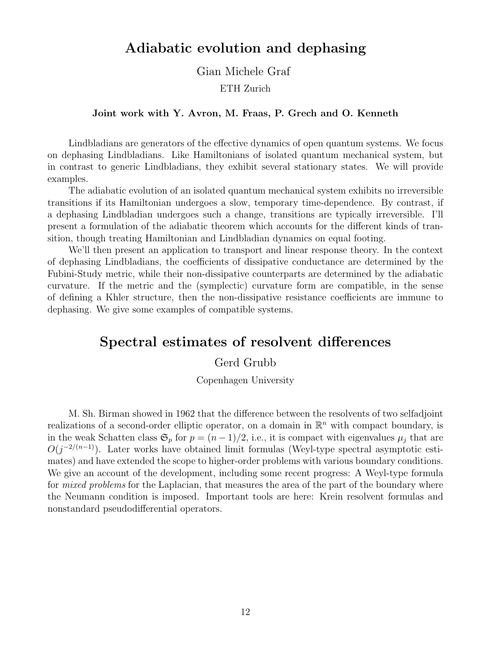# Adiabatic evolution and dephasing

Gian Michele Graf

ETH Zurich

#### Joint work with Y. Avron, M. Fraas, P. Grech and O. Kenneth

Lindbladians are generators of the effective dynamics of open quantum systems. We focus on dephasing Lindbladians. Like Hamiltonians of isolated quantum mechanical system, but in contrast to generic Lindbladians, they exhibit several stationary states. We will provide examples.

The adiabatic evolution of an isolated quantum mechanical system exhibits no irreversible transitions if its Hamiltonian undergoes a slow, temporary time-dependence. By contrast, if a dephasing Lindbladian undergoes such a change, transitions are typically irreversible. I'll present a formulation of the adiabatic theorem which accounts for the different kinds of transition, though treating Hamiltonian and Lindbladian dynamics on equal footing.

We'll then present an application to transport and linear response theory. In the context of dephasing Lindbladians, the coefficients of dissipative conductance are determined by the Fubini-Study metric, while their non-dissipative counterparts are determined by the adiabatic curvature. If the metric and the (symplectic) curvature form are compatible, in the sense of defining a Khler structure, then the non-dissipative resistance coefficients are immune to dephasing. We give some examples of compatible systems.

## Spectral estimates of resolvent differences

### Gerd Grubb

Copenhagen University

M. Sh. Birman showed in 1962 that the difference between the resolvents of two selfadjoint realizations of a second-order elliptic operator, on a domain in  $\mathbb{R}^n$  with compact boundary, is in the weak Schatten class  $\mathfrak{S}_p$  for  $p = (n-1)/2$ , i.e., it is compact with eigenvalues  $\mu_i$  that are  $O(j^{-2/(n-1)})$ . Later works have obtained limit formulas (Weyl-type spectral asymptotic estimates) and have extended the scope to higher-order problems with various boundary conditions. We give an account of the development, including some recent progress: A Weyl-type formula for *mixed problems* for the Laplacian, that measures the area of the part of the boundary where the Neumann condition is imposed. Important tools are here: Krein resolvent formulas and nonstandard pseudodifferential operators.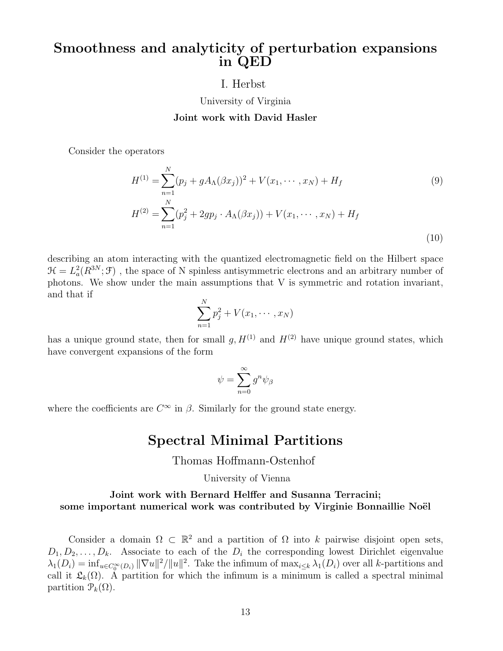# Smoothness and analyticity of perturbation expansions in QED

### I. Herbst

University of Virginia

### Joint work with David Hasler

Consider the operators

$$
H^{(1)} = \sum_{n=1}^{N} (p_j + gA_{\Lambda}(\beta x_j))^2 + V(x_1, \dots, x_N) + H_f
$$
\n
$$
H^{(2)} = \sum_{n=1}^{N} (p_j^2 + 2gp_j \cdot A_{\Lambda}(\beta x_j)) + V(x_1, \dots, x_N) + H_f
$$
\n(9)

describing an atom interacting with the quantized electromagnetic field on the Hilbert space  $\mathcal{H} = L^2_a(R^{3N}; \mathcal{F})$ , the space of N spinless antisymmetric electrons and an arbitrary number of photons. We show under the main assumptions that V is symmetric and rotation invariant, and that if

$$
\sum_{n=1}^N p_j^2 + V(x_1, \cdots, x_N)
$$

has a unique ground state, then for small  $q, H^{(1)}$  and  $H^{(2)}$  have unique ground states, which have convergent expansions of the form

$$
\psi=\sum_{n=0}^\infty g^n\psi_\beta
$$

where the coefficients are  $C^{\infty}$  in  $\beta$ . Similarly for the ground state energy.

### Spectral Minimal Partitions

### Thomas Hoffmann-Ostenhof

#### University of Vienna

### Joint work with Bernard Helffer and Susanna Terracini; some important numerical work was contributed by Virginie Bonnaillie Noël

Consider a domain  $\Omega \subset \mathbb{R}^2$  and a partition of  $\Omega$  into k pairwise disjoint open sets,  $D_1, D_2, \ldots, D_k$ . Associate to each of the  $D_i$  the corresponding lowest Dirichlet eigenvalue  $\lambda_1(D_i) = \inf_{u \in C_0^{\infty}(D_i)} ||\nabla u||^2 / ||u||^2$ . Take the infimum of  $\max_{i \leq k} \lambda_1(D_i)$  over all k-partitions and call it  $\mathfrak{L}_k(\Omega)$ . A partition for which the infimum is a minimum is called a spectral minimal partition  $\mathcal{P}_k(\Omega)$ .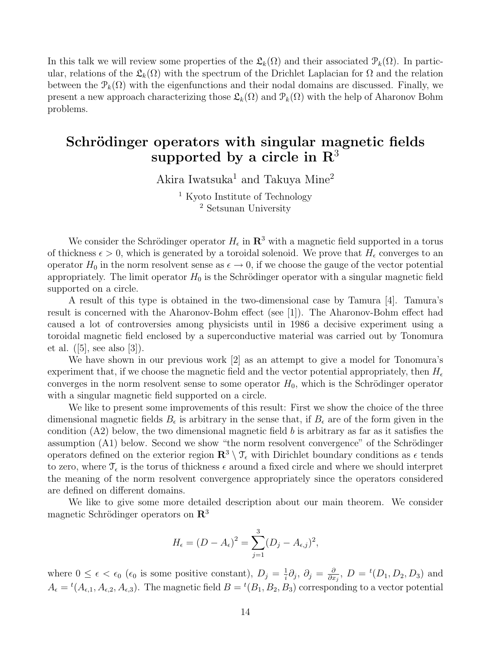In this talk we will review some properties of the  $\mathfrak{L}_k(\Omega)$  and their associated  $\mathfrak{P}_k(\Omega)$ . In particular, relations of the  $\mathfrak{L}_k(\Omega)$  with the spectrum of the Drichlet Laplacian for  $\Omega$  and the relation between the  $\mathcal{P}_k(\Omega)$  with the eigenfunctions and their nodal domains are discussed. Finally, we present a new approach characterizing those  $\mathfrak{L}_k(\Omega)$  and  $\mathfrak{P}_k(\Omega)$  with the help of Aharonov Bohm problems.

# Schrödinger operators with singular magnetic fields supported by a circle in  $\mathbb{R}^3$

Akira Iwatsuka<sup>1</sup> and Takuya Mine<sup>2</sup>

<sup>1</sup> Kyoto Institute of Technology <sup>2</sup> Setsunan University

We consider the Schrödinger operator  $H_{\epsilon}$  in  $\mathbb{R}^{3}$  with a magnetic field supported in a torus of thickness  $\epsilon > 0$ , which is generated by a toroidal solenoid. We prove that  $H_{\epsilon}$  converges to an operator  $H_0$  in the norm resolvent sense as  $\epsilon \to 0$ , if we choose the gauge of the vector potential appropriately. The limit operator  $H_0$  is the Schrödinger operator with a singular magnetic field supported on a circle.

A result of this type is obtained in the two-dimensional case by Tamura [4]. Tamura's result is concerned with the Aharonov-Bohm effect (see [1]). The Aharonov-Bohm effect had caused a lot of controversies among physicists until in 1986 a decisive experiment using a toroidal magnetic field enclosed by a superconductive material was carried out by Tonomura et al.  $([5], \text{see also } [3]).$ 

We have shown in our previous work [2] as an attempt to give a model for Tonomura's experiment that, if we choose the magnetic field and the vector potential appropriately, then  $H_{\epsilon}$ converges in the norm resolvent sense to some operator  $H_0$ , which is the Schrödinger operator with a singular magnetic field supported on a circle.

We like to present some improvements of this result: First we show the choice of the three dimensional magnetic fields  $B_{\epsilon}$  is arbitrary in the sense that, if  $B_{\epsilon}$  are of the form given in the condition  $(A2)$  below, the two dimensional magnetic field b is arbitrary as far as it satisfies the assumption (A1) below. Second we show "the norm resolvent convergence" of the Schrödinger operators defined on the exterior region  $\mathbb{R}^3 \setminus \mathcal{T}_{\epsilon}$  with Dirichlet boundary conditions as  $\epsilon$  tends to zero, where  $\mathcal{T}_{\epsilon}$  is the torus of thickness  $\epsilon$  around a fixed circle and where we should interpret the meaning of the norm resolvent convergence appropriately since the operators considered are defined on different domains.

We like to give some more detailed description about our main theorem. We consider magnetic Schrödinger operators on  $\mathbb{R}^3$ 

$$
H_{\epsilon} = (D - A_{\epsilon})^2 = \sum_{j=1}^3 (D_j - A_{\epsilon,j})^2,
$$

where  $0 \leq \epsilon < \epsilon_0$  ( $\epsilon_0$  is some positive constant),  $D_j = \frac{1}{i}$  $\frac{1}{i}\partial_{j},\ \partial_{j}=\frac{\partial}{\partial x}$  $\frac{\partial}{\partial x_j}, D = {^t(D_1, D_2, D_3)}$  and  $A_{\epsilon} = {}^{t}(A_{\epsilon,1}, A_{\epsilon,2}, A_{\epsilon,3})$ . The magnetic field  $B = {}^{t}(B_1, B_2, B_3)$  corresponding to a vector potential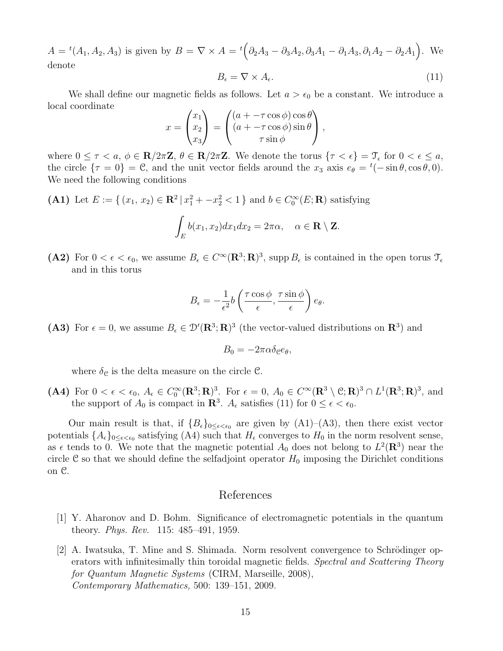$A = {}^{t}(A_1, A_2, A_3)$  is given by  $B = \nabla \times A = {}^{t}(\partial_2 A_3 - \partial_3 A_2, \partial_3 A_1 - \partial_1 A_3, \partial_1 A_2 - \partial_2 A_1)$ . We denote

$$
B_{\epsilon} = \nabla \times A_{\epsilon}.\tag{11}
$$

We shall define our magnetic fields as follows. Let  $a > \epsilon_0$  be a constant. We introduce a local coordinate

$$
x = \begin{pmatrix} x_1 \\ x_2 \\ x_3 \end{pmatrix} = \begin{pmatrix} (a + -\tau \cos \phi) \cos \theta \\ (a + -\tau \cos \phi) \sin \theta \\ \tau \sin \phi \end{pmatrix},
$$

where  $0 \leq \tau < a$ ,  $\phi \in \mathbf{R}/2\pi\mathbf{Z}$ ,  $\theta \in \mathbf{R}/2\pi\mathbf{Z}$ . We denote the torus  $\{\tau < \epsilon\} = \mathfrak{T}_{\epsilon}$  for  $0 < \epsilon \leq a$ , the circle  $\{\tau = 0\} = \mathcal{C}$ , and the unit vector fields around the  $x_3$  axis  $e_{\theta} = {}^{t}(-\sin \theta, \cos \theta, 0)$ . We need the following conditions

(A1) Let 
$$
E := \{(x_1, x_2) \in \mathbb{R}^2 | x_1^2 + -x_2^2 < 1 \}
$$
 and  $b \in C_0^{\infty}(E; \mathbb{R})$  satisfying  

$$
\int_E b(x_1, x_2) dx_1 dx_2 = 2\pi \alpha, \quad \alpha \in \mathbb{R} \setminus \mathbb{Z}.
$$

(A2) For  $0 < \epsilon < \epsilon_0$ , we assume  $B_{\epsilon} \in C^{\infty}(\mathbf{R}^3; \mathbf{R})^3$ , supp  $B_{\epsilon}$  is contained in the open torus  $\mathcal{T}_{\epsilon}$ and in this torus

$$
B_{\epsilon} = -\frac{1}{\epsilon^2}b\left(\frac{\tau\cos\phi}{\epsilon}, \frac{\tau\sin\phi}{\epsilon}\right)e_{\theta}.
$$

(A3) For  $\epsilon = 0$ , we assume  $B_{\epsilon} \in \mathcal{D}'(\mathbf{R}^3; \mathbf{R})^3$  (the vector-valued distributions on  $\mathbf{R}^3$ ) and

$$
B_0 = -2\pi\alpha\delta_{\mathcal{C}}e_{\theta},
$$

where  $\delta_{\mathcal{C}}$  is the delta measure on the circle  $\mathcal{C}$ .

(A4) For  $0 < \epsilon < \epsilon_0$ ,  $A_{\epsilon} \in C_0^{\infty}(\mathbf{R}^3; \mathbf{R})^3$ . For  $\epsilon = 0$ ,  $A_0 \in C^{\infty}(\mathbf{R}^3 \setminus \mathcal{C}; \mathbf{R})^3 \cap L^1(\mathbf{R}^3; \mathbf{R})^3$ , and the support of  $A_0$  is compact in  $\mathbb{R}^3$ .  $A_{\epsilon}$  satisfies (11) for  $0 \leq \epsilon < \epsilon_0$ .

Our main result is that, if  ${B_{\epsilon}}_{0 \leq \epsilon \leq \epsilon_0}$  are given by  $(A1)$ – $(A3)$ , then there exist vector potentials  $\{A_{\epsilon}\}_{0\leq\epsilon<\epsilon_0}$  satisfying (A4) such that  $H_{\epsilon}$  converges to  $H_0$  in the norm resolvent sense, as  $\epsilon$  tends to 0. We note that the magnetic potential  $A_0$  does not belong to  $L^2(\mathbf{R}^3)$  near the circle C so that we should define the selfadjoint operator  $H_0$  imposing the Dirichlet conditions on C.

### References

- [1] Y. Aharonov and D. Bohm. Significance of electromagnetic potentials in the quantum theory. Phys. Rev. 115: 485–491, 1959.
- [2] A. Iwatsuka, T. Mine and S. Shimada. Norm resolvent convergence to Schrödinger operators with infinitesimally thin toroidal magnetic fields. Spectral and Scattering Theory for Quantum Magnetic Systems (CIRM, Marseille, 2008), Contemporary Mathematics, 500: 139–151, 2009.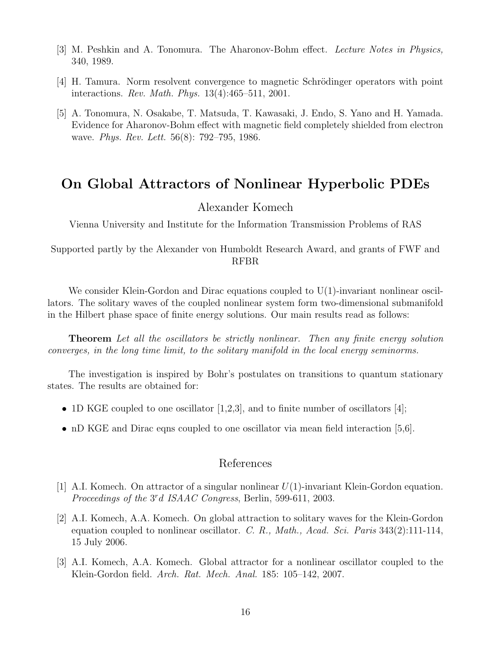- [3] M. Peshkin and A. Tonomura. The Aharonov-Bohm effect. Lecture Notes in Physics, 340, 1989.
- [4] H. Tamura. Norm resolvent convergence to magnetic Schrödinger operators with point interactions. Rev. Math. Phys. 13(4):465–511, 2001.
- [5] A. Tonomura, N. Osakabe, T. Matsuda, T. Kawasaki, J. Endo, S. Yano and H. Yamada. Evidence for Aharonov-Bohm effect with magnetic field completely shielded from electron wave. *Phys. Rev. Lett.* 56(8): 792–795, 1986.

# On Global Attractors of Nonlinear Hyperbolic PDEs

### Alexander Komech

Vienna University and Institute for the Information Transmission Problems of RAS

Supported partly by the Alexander von Humboldt Research Award, and grants of FWF and RFBR

We consider Klein-Gordon and Dirac equations coupled to  $U(1)$ -invariant nonlinear oscillators. The solitary waves of the coupled nonlinear system form two-dimensional submanifold in the Hilbert phase space of finite energy solutions. Our main results read as follows:

Theorem Let all the oscillators be strictly nonlinear. Then any finite energy solution converges, in the long time limit, to the solitary manifold in the local energy seminorms.

The investigation is inspired by Bohr's postulates on transitions to quantum stationary states. The results are obtained for:

- 1D KGE coupled to one oscillator  $[1,2,3]$ , and to finite number of oscillators  $[4]$ ;
- nD KGE and Dirac eqns coupled to one oscillator via mean field interaction [5,6].

### References

- [1] A.I. Komech. On attractor of a singular nonlinear  $U(1)$ -invariant Klein-Gordon equation. Proceedings of the 3<sup>r</sup>d ISAAC Congress, Berlin, 599-611, 2003.
- [2] A.I. Komech, A.A. Komech. On global attraction to solitary waves for the Klein-Gordon equation coupled to nonlinear oscillator. C. R., Math., Acad. Sci. Paris  $343(2):111-114$ , 15 July 2006.
- [3] A.I. Komech, A.A. Komech. Global attractor for a nonlinear oscillator coupled to the Klein-Gordon field. Arch. Rat. Mech. Anal. 185: 105–142, 2007.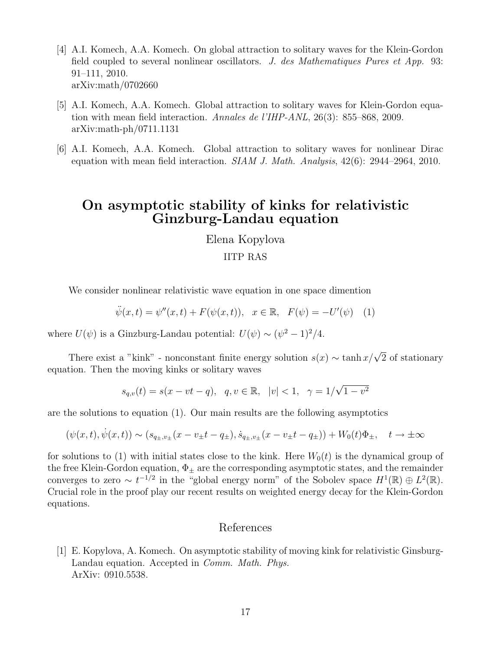- [4] A.I. Komech, A.A. Komech. On global attraction to solitary waves for the Klein-Gordon field coupled to several nonlinear oscillators. J. des Mathematiques Pures et App. 93: 91–111, 2010. arXiv:math/0702660
- [5] A.I. Komech, A.A. Komech. Global attraction to solitary waves for Klein-Gordon equation with mean field interaction. Annales de l'IHP-ANL, 26(3): 855–868, 2009. arXiv:math-ph/0711.1131
- [6] A.I. Komech, A.A. Komech. Global attraction to solitary waves for nonlinear Dirac equation with mean field interaction.  $SIAM$  J. Math. Analysis, 42(6): 2944–2964, 2010.

## On asymptotic stability of kinks for relativistic Ginzburg-Landau equation

### Elena Kopylova

### IITP RAS

We consider nonlinear relativistic wave equation in one space dimention

$$
\ddot{\psi}(x,t) = \psi''(x,t) + F(\psi(x,t)), \quad x \in \mathbb{R}, \quad F(\psi) = -U'(\psi) \quad (1)
$$

where  $U(\psi)$  is a Ginzburg-Landau potential:  $U(\psi) \sim (\psi^2 - 1)^2/4$ .

There exist a "kink" - nonconstant finite energy solution  $s(x) \sim \tanh(x/\sqrt{2})$  of stationary equation. Then the moving kinks or solitary waves

$$
s_{q,v}(t) = s(x - vt - q), \quad q, v \in \mathbb{R}, \quad |v| < 1, \quad \gamma = 1/\sqrt{1 - v^2}
$$

are the solutions to equation (1). Our main results are the following asymptotics

$$
(\psi(x,t), \dot{\psi}(x,t)) \sim (s_{q_{\pm},v_{\pm}}(x-v_{\pm}t-q_{\pm}), \dot{s}_{q_{\pm},v_{\pm}}(x-v_{\pm}t-q_{\pm})) + W_0(t)\Phi_{\pm}, \quad t \to \pm \infty
$$

for solutions to (1) with initial states close to the kink. Here  $W_0(t)$  is the dynamical group of the free Klein-Gordon equation,  $\Phi_{\pm}$  are the corresponding asymptotic states, and the remainder converges to zero  $\sim t^{-1/2}$  in the "global energy norm" of the Sobolev space  $H^1(\mathbb{R}) \oplus L^2(\mathbb{R})$ . Crucial role in the proof play our recent results on weighted energy decay for the Klein-Gordon equations.

### References

[1] E. Kopylova, A. Komech. On asymptotic stability of moving kink for relativistic Ginsburg-Landau equation. Accepted in Comm. Math. Phys. ArXiv: 0910.5538.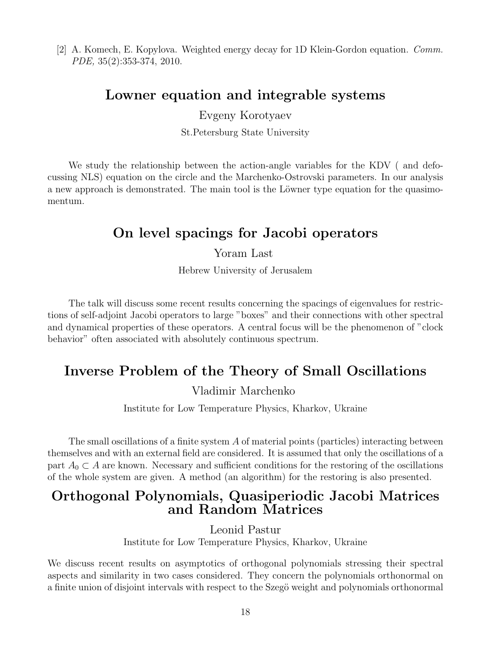[2] A. Komech, E. Kopylova. Weighted energy decay for 1D Klein-Gordon equation. Comm. PDE, 35(2):353-374, 2010.

# Lowner equation and integrable systems

Evgeny Korotyaev

St.Petersburg State University

We study the relationship between the action-angle variables for the KDV ( and defocussing NLS) equation on the circle and the Marchenko-Ostrovski parameters. In our analysis a new approach is demonstrated. The main tool is the Löwner type equation for the quasimomentum.

# On level spacings for Jacobi operators

Yoram Last

Hebrew University of Jerusalem

The talk will discuss some recent results concerning the spacings of eigenvalues for restrictions of self-adjoint Jacobi operators to large "boxes" and their connections with other spectral and dynamical properties of these operators. A central focus will be the phenomenon of "clock behavior" often associated with absolutely continuous spectrum.

# Inverse Problem of the Theory of Small Oscillations

Vladimir Marchenko

Institute for Low Temperature Physics, Kharkov, Ukraine

The small oscillations of a finite system A of material points (particles) interacting between themselves and with an external field are considered. It is assumed that only the oscillations of a part  $A_0 \subset A$  are known. Necessary and sufficient conditions for the restoring of the oscillations of the whole system are given. A method (an algorithm) for the restoring is also presented.

## Orthogonal Polynomials, Quasiperiodic Jacobi Matrices and Random Matrices

Leonid Pastur

Institute for Low Temperature Physics, Kharkov, Ukraine

We discuss recent results on asymptotics of orthogonal polynomials stressing their spectral aspects and similarity in two cases considered. They concern the polynomials orthonormal on a finite union of disjoint intervals with respect to the Szegö weight and polynomials orthonormal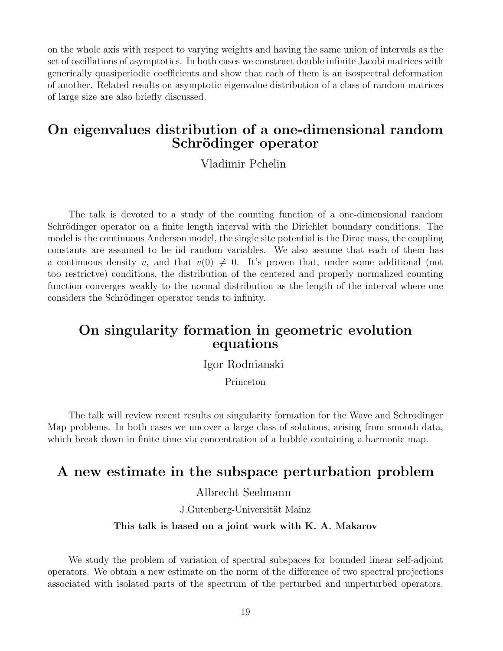on the whole axis with respect to varying weights and having the same union of intervals as the set of oscillations of asymptotics. In both cases we construct double infinite Jacobi matrices with generically quasiperiodic coefficients and show that each of them is an isospectral deformation of another. Related results on asymptotic eigenvalue distribution of a class of random matrices of large size are also briefly discussed.

# On eigenvalues distribution of a one-dimensional random Schrödinger operator

Vladimir Pchelin

The talk is devoted to a study of the counting function of a one-dimensional random Schrödinger operator on a finite length interval with the Dirichlet boundary conditions. The model is the continuous Anderson model, the single site potential is the Dirac mass, the coupling constants are assumed to be iid random variables. We also assume that each of them has a continuous density v, and that  $v(0) \neq 0$ . It's proven that, under some additional (not too restrictve) conditions, the distribution of the centered and properly normalized counting function converges weakly to the normal distribution as the length of the interval where one considers the Schrödinger operator tends to infinity.

# On singularity formation in geometric evolution equations

Igor Rodnianski

Princeton

The talk will review recent results on singularity formation for the Wave and Schrodinger Map problems. In both cases we uncover a large class of solutions, arising from smooth data, which break down in finite time via concentration of a bubble containing a harmonic map.

# A new estimate in the subspace perturbation problem

Albrecht Seelmann

J.Gutenberg-Universität Mainz

#### This talk is based on a joint work with K. A. Makarov

We study the problem of variation of spectral subspaces for bounded linear self-adjoint operators. We obtain a new estimate on the norm of the difference of two spectral projections associated with isolated parts of the spectrum of the perturbed and unperturbed operators.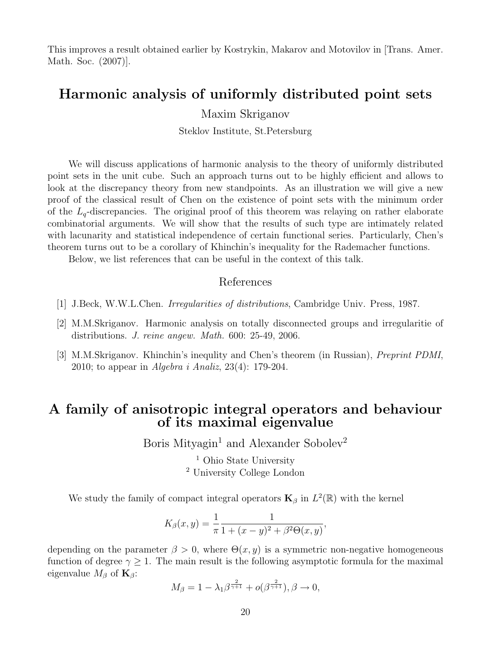This improves a result obtained earlier by Kostrykin, Makarov and Motovilov in [Trans. Amer. Math. Soc. (2007)].

## Harmonic analysis of uniformly distributed point sets

Maxim Skriganov

Steklov Institute, St.Petersburg

We will discuss applications of harmonic analysis to the theory of uniformly distributed point sets in the unit cube. Such an approach turns out to be highly efficient and allows to look at the discrepancy theory from new standpoints. As an illustration we will give a new proof of the classical result of Chen on the existence of point sets with the minimum order of the  $L_q$ -discrepancies. The original proof of this theorem was relaying on rather elaborate combinatorial arguments. We will show that the results of such type are intimately related with lacunarity and statistical independence of certain functional series. Particularly, Chen's theorem turns out to be a corollary of Khinchin's inequality for the Rademacher functions.

Below, we list references that can be useful in the context of this talk.

### References

- [1] J.Beck, W.W.L.Chen. Irregularities of distributions, Cambridge Univ. Press, 1987.
- [2] M.M.Skriganov. Harmonic analysis on totally disconnected groups and irregularitie of distributions. J. reine angew. Math. 600: 25-49, 2006.
- [3] M.M.Skriganov. Khinchin's inequlity and Chen's theorem (in Russian), Preprint PDMI, 2010; to appear in Algebra i Analiz, 23(4): 179-204.

## A family of anisotropic integral operators and behaviour of its maximal eigenvalue

Boris Mityagin<sup>1</sup> and Alexander Sobolev<sup>2</sup>

<sup>1</sup> Ohio State University <sup>2</sup> University College London

We study the family of compact integral operators  $\mathbf{K}_{\beta}$  in  $L^2(\mathbb{R})$  with the kernel

$$
K_{\beta}(x, y) = \frac{1}{\pi} \frac{1}{1 + (x - y)^2 + \beta^2 \Theta(x, y)},
$$

depending on the parameter  $\beta > 0$ , where  $\Theta(x, y)$  is a symmetric non-negative homogeneous function of degree  $\gamma \geq 1$ . The main result is the following asymptotic formula for the maximal eigenvalue  $M_{\beta}$  of  $\mathbf{K}_{\beta}$ :

$$
M_{\beta} = 1 - \lambda_1 \beta^{\frac{2}{\gamma+1}} + o(\beta^{\frac{2}{\gamma+1}}), \beta \to 0,
$$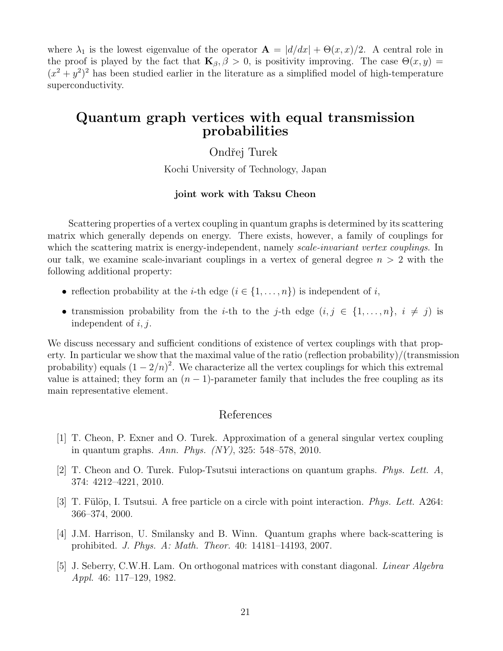where  $\lambda_1$  is the lowest eigenvalue of the operator  $\mathbf{A} = |d/dx| + \Theta(x, x)/2$ . A central role in the proof is played by the fact that  $\mathbf{K}_{\beta}$ ,  $\beta > 0$ , is positivity improving. The case  $\Theta(x, y) =$  $(x^{2} + y^{2})^{2}$  has been studied earlier in the literature as a simplified model of high-temperature superconductivity.

### Quantum graph vertices with equal transmission probabilities

Ondřej Turek

Kochi University of Technology, Japan

#### joint work with Taksu Cheon

Scattering properties of a vertex coupling in quantum graphs is determined by its scattering matrix which generally depends on energy. There exists, however, a family of couplings for which the scattering matrix is energy-independent, namely *scale-invariant vertex couplings*. In our talk, we examine scale-invariant couplings in a vertex of general degree  $n > 2$  with the following additional property:

- reflection probability at the *i*-th edge  $(i \in \{1, \ldots, n\})$  is independent of *i*,
- transmission probability from the *i*-th to the *j*-th edge  $(i, j \in \{1, ..., n\}, i \neq j)$  is independent of  $i, j$ .

We discuss necessary and sufficient conditions of existence of vertex couplings with that property. In particular we show that the maximal value of the ratio (reflection probability)/(transmission probability) equals  $(1 - 2/n)^2$ . We characterize all the vertex couplings for which this extremal value is attained; they form an  $(n - 1)$ -parameter family that includes the free coupling as its main representative element.

### References

- [1] T. Cheon, P. Exner and O. Turek. Approximation of a general singular vertex coupling in quantum graphs. Ann. Phys. (NY), 325: 548–578, 2010.
- [2] T. Cheon and O. Turek. Fulop-Tsutsui interactions on quantum graphs. *Phys. Lett.*  $A$ , 374: 4212–4221, 2010.
- [3] T. Fülöp, I. Tsutsui. A free particle on a circle with point interaction. *Phys. Lett.* A264: 366–374, 2000.
- [4] J.M. Harrison, U. Smilansky and B. Winn. Quantum graphs where back-scattering is prohibited. J. Phys. A: Math. Theor. 40: 14181–14193, 2007.
- [5] J. Seberry, C.W.H. Lam. On orthogonal matrices with constant diagonal. Linear Algebra Appl. 46: 117–129, 1982.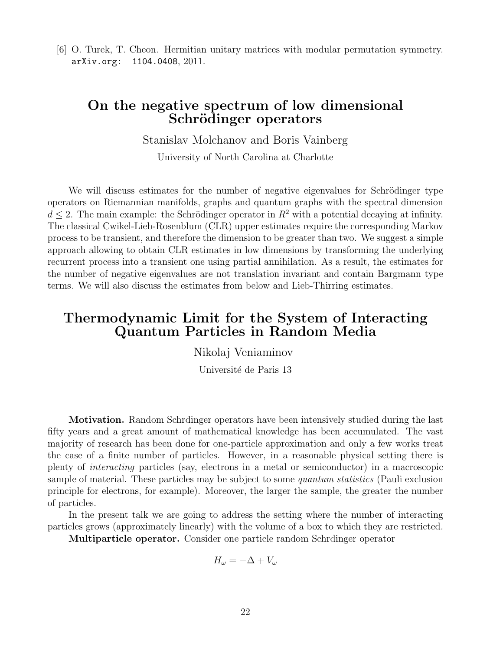[6] O. Turek, T. Cheon. Hermitian unitary matrices with modular permutation symmetry. arXiv.org: 1104.0408, 2011.

### On the negative spectrum of low dimensional Schrödinger operators

Stanislav Molchanov and Boris Vainberg

University of North Carolina at Charlotte

We will discuss estimates for the number of negative eigenvalues for Schrödinger type operators on Riemannian manifolds, graphs and quantum graphs with the spectral dimension  $d \leq 2$ . The main example: the Schrödinger operator in  $R^2$  with a potential decaying at infinity. The classical Cwikel-Lieb-Rosenblum (CLR) upper estimates require the corresponding Markov process to be transient, and therefore the dimension to be greater than two. We suggest a simple approach allowing to obtain CLR estimates in low dimensions by transforming the underlying recurrent process into a transient one using partial annihilation. As a result, the estimates for the number of negative eigenvalues are not translation invariant and contain Bargmann type terms. We will also discuss the estimates from below and Lieb-Thirring estimates.

# Thermodynamic Limit for the System of Interacting Quantum Particles in Random Media

Nikolaj Veniaminov

Université de Paris 13

Motivation. Random Schrdinger operators have been intensively studied during the last fifty years and a great amount of mathematical knowledge has been accumulated. The vast majority of research has been done for one-particle approximation and only a few works treat the case of a finite number of particles. However, in a reasonable physical setting there is plenty of interacting particles (say, electrons in a metal or semiconductor) in a macroscopic sample of material. These particles may be subject to some *quantum statistics* (Pauli exclusion principle for electrons, for example). Moreover, the larger the sample, the greater the number of particles.

In the present talk we are going to address the setting where the number of interacting particles grows (approximately linearly) with the volume of a box to which they are restricted.

Multiparticle operator. Consider one particle random Schrdinger operator

$$
H_{\omega} = -\Delta + V_{\omega}
$$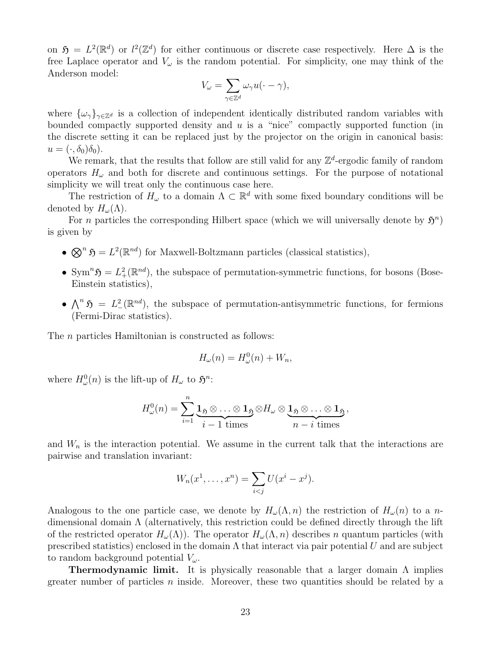on  $\mathfrak{H} = L^2(\mathbb{R}^d)$  or  $l^2(\mathbb{Z}^d)$  for either continuous or discrete case respectively. Here  $\Delta$  is the free Laplace operator and  $V_{\omega}$  is the random potential. For simplicity, one may think of the Anderson model:

$$
V_{\omega} = \sum_{\gamma \in \mathbb{Z}^d} \omega_{\gamma} u(\cdot - \gamma),
$$

where  $\{\omega_\gamma\}_{\gamma \in \mathbb{Z}^d}$  is a collection of independent identically distributed random variables with bounded compactly supported density and  $u$  is a "nice" compactly supported function (in the discrete setting it can be replaced just by the projector on the origin in canonical basis:  $u = (\cdot, \delta_0)\delta_0$ .

We remark, that the results that follow are still valid for any  $\mathbb{Z}^d$ -ergodic family of random operators  $H_{\omega}$  and both for discrete and continuous settings. For the purpose of notational simplicity we will treat only the continuous case here.

The restriction of  $H_{\omega}$  to a domain  $\Lambda \subset \mathbb{R}^d$  with some fixed boundary conditions will be denoted by  $H_{\omega}(\Lambda)$ .

For *n* particles the corresponding Hilbert space (which we will universally denote by  $\mathfrak{H}^n$ ) is given by

- $\mathfrak{D}^n$   $\mathfrak{H} = L^2(\mathbb{R}^{nd})$  for Maxwell-Boltzmann particles (classical statistics),
- Sym<sup>n</sup> $\mathfrak{H} = L^2_+(\mathbb{R}^{nd})$ , the subspace of permutation-symmetric functions, for bosons (Bose-Einstein statistics),
- $\bigwedge^n \mathfrak{H} = L^2(\mathbb{R}^{nd})$ , the subspace of permutation-antisymmetric functions, for fermions (Fermi-Dirac statistics).

The *n* particles Hamiltonian is constructed as follows:

$$
H_{\omega}(n) = H_{\omega}^{0}(n) + W_{n},
$$

where  $H^0_\omega(n)$  is the lift-up of  $H_\omega$  to  $\mathfrak{H}^n$ :

$$
H_{\omega}^{0}(n) = \sum_{i=1}^{n} \underbrace{\mathbf{1}_{\mathfrak{H}} \otimes \ldots \otimes \mathbf{1}_{\mathfrak{H}}}_{i-1 \text{ times}} \otimes H_{\omega} \otimes \underbrace{\mathbf{1}_{\mathfrak{H}} \otimes \ldots \otimes \mathbf{1}_{\mathfrak{H}}}_{n-i \text{ times}},
$$

and  $W_n$  is the interaction potential. We assume in the current talk that the interactions are pairwise and translation invariant:

$$
W_n(x^1, ..., x^n) = \sum_{i < j} U(x^i - x^j).
$$

Analogous to the one particle case, we denote by  $H_{\omega}(\Lambda, n)$  the restriction of  $H_{\omega}(n)$  to a ndimensional domain Λ (alternatively, this restriction could be defined directly through the lift of the restricted operator  $H_{\omega}(\Lambda)$ . The operator  $H_{\omega}(\Lambda,n)$  describes n quantum particles (with prescribed statistics) enclosed in the domain  $\Lambda$  that interact via pair potential U and are subject to random background potential  $V_\omega$ .

**Thermodynamic limit.** It is physically reasonable that a larger domain  $\Lambda$  implies greater number of particles  $n$  inside. Moreover, these two quantities should be related by a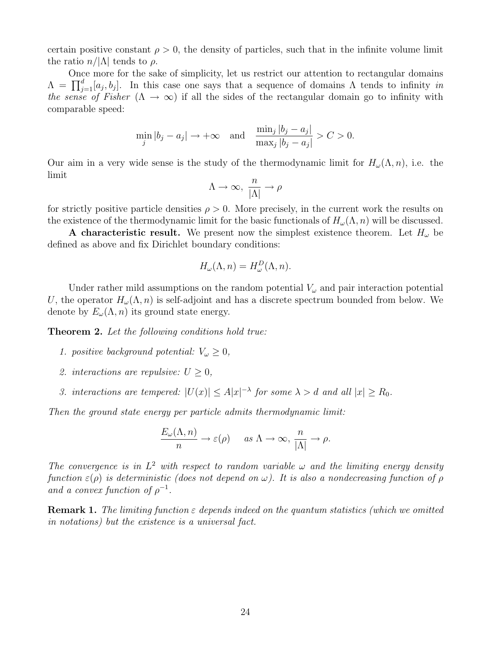certain positive constant  $\rho > 0$ , the density of particles, such that in the infinite volume limit the ratio  $n/|\Lambda|$  tends to  $\rho$ .

Once more for the sake of simplicity, let us restrict our attention to rectangular domains  $\Lambda = \prod_{j=1}^d [a_j, b_j].$  In this case one says that a sequence of domains  $\Lambda$  tends to infinity in the sense of Fisher ( $\Lambda \to \infty$ ) if all the sides of the rectangular domain go to infinity with comparable speed:

$$
\min_{j} |b_j - a_j| \to +\infty \quad \text{and} \quad \frac{\min_{j} |b_j - a_j|}{\max_{j} |b_j - a_j|} > C > 0.
$$

Our aim in a very wide sense is the study of the thermodynamic limit for  $H_{\omega}(\Lambda, n)$ , i.e. the limit

$$
\Lambda \rightarrow \infty, \; \frac{n}{|\Lambda|} \rightarrow \rho
$$

for strictly positive particle densities  $\rho > 0$ . More precisely, in the current work the results on the existence of the thermodynamic limit for the basic functionals of  $H_{\omega}(\Lambda, n)$  will be discussed.

A characteristic result. We present now the simplest existence theorem. Let  $H_{\omega}$  be defined as above and fix Dirichlet boundary conditions:

$$
H_{\omega}(\Lambda, n) = H_{\omega}^{D}(\Lambda, n).
$$

Under rather mild assumptions on the random potential  $V_{\omega}$  and pair interaction potential U, the operator  $H_{\omega}(\Lambda, n)$  is self-adjoint and has a discrete spectrum bounded from below. We denote by  $E_{\omega}(\Lambda, n)$  its ground state energy.

Theorem 2. Let the following conditions hold true:

- 1. positive background potential:  $V_{\omega} \geq 0$ ,
- 2. interactions are repulsive:  $U > 0$ ,
- 3. interactions are tempered:  $|U(x)| \leq A|x|^{-\lambda}$  for some  $\lambda > d$  and all  $|x| \geq R_0$ .

Then the ground state energy per particle admits thermodynamic limit:

$$
\frac{E_{\omega}(\Lambda, n)}{n} \to \varepsilon(\rho) \quad \text{as } \Lambda \to \infty, \frac{n}{|\Lambda|} \to \rho.
$$

The convergence is in  $L^2$  with respect to random variable  $\omega$  and the limiting energy density function  $\varepsilon(\rho)$  is deterministic (does not depend on  $\omega$ ). It is also a nondecreasing function of  $\rho$ and a convex function of  $\rho^{-1}$ .

**Remark 1.** The limiting function  $\varepsilon$  depends indeed on the quantum statistics (which we omitted in notations) but the existence is a universal fact.